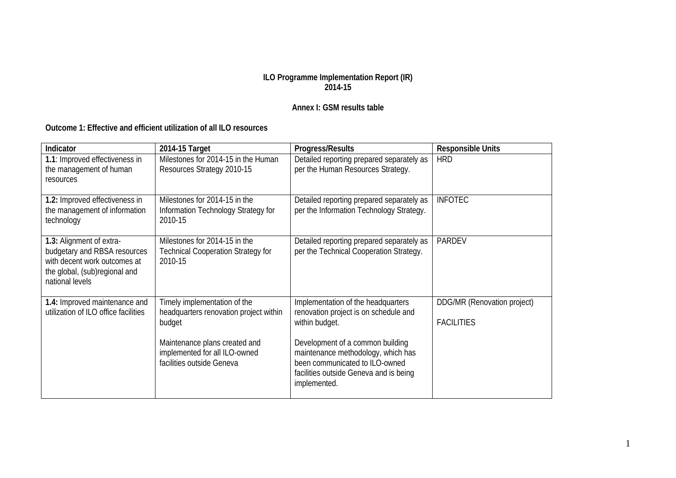## **ILO Programme Implementation Report (IR) 2014-15**

## **Annex I: GSM results table**

## **Outcome 1: Effective and efficient utilization of all ILO resources**

| Indicator                                                                                                                                    | 2014-15 Target                                                                                                                                                                  | Progress/Results                                                                                                                                                                                                                                                    | <b>Responsible Units</b>                         |
|----------------------------------------------------------------------------------------------------------------------------------------------|---------------------------------------------------------------------------------------------------------------------------------------------------------------------------------|---------------------------------------------------------------------------------------------------------------------------------------------------------------------------------------------------------------------------------------------------------------------|--------------------------------------------------|
| 1.1: Improved effectiveness in<br>the management of human<br>resources                                                                       | Milestones for 2014-15 in the Human<br>Resources Strategy 2010-15                                                                                                               | Detailed reporting prepared separately as<br>per the Human Resources Strategy.                                                                                                                                                                                      | <b>HRD</b>                                       |
| 1.2: Improved effectiveness in<br>the management of information<br>technology                                                                | Milestones for 2014-15 in the<br>Information Technology Strategy for<br>2010-15                                                                                                 | Detailed reporting prepared separately as<br>per the Information Technology Strategy.                                                                                                                                                                               | <b>INFOTEC</b>                                   |
| 1.3: Alignment of extra-<br>budgetary and RBSA resources<br>with decent work outcomes at<br>the global, (sub)regional and<br>national levels | Milestones for 2014-15 in the<br><b>Technical Cooperation Strategy for</b><br>2010-15                                                                                           | Detailed reporting prepared separately as<br>per the Technical Cooperation Strategy.                                                                                                                                                                                | <b>PARDEV</b>                                    |
| 1.4: Improved maintenance and<br>utilization of ILO office facilities                                                                        | Timely implementation of the<br>headquarters renovation project within<br>budget<br>Maintenance plans created and<br>implemented for all ILO-owned<br>facilities outside Geneva | Implementation of the headquarters<br>renovation project is on schedule and<br>within budget.<br>Development of a common building<br>maintenance methodology, which has<br>been communicated to ILO-owned<br>facilities outside Geneva and is being<br>implemented. | DDG/MR (Renovation project)<br><b>FACILITIES</b> |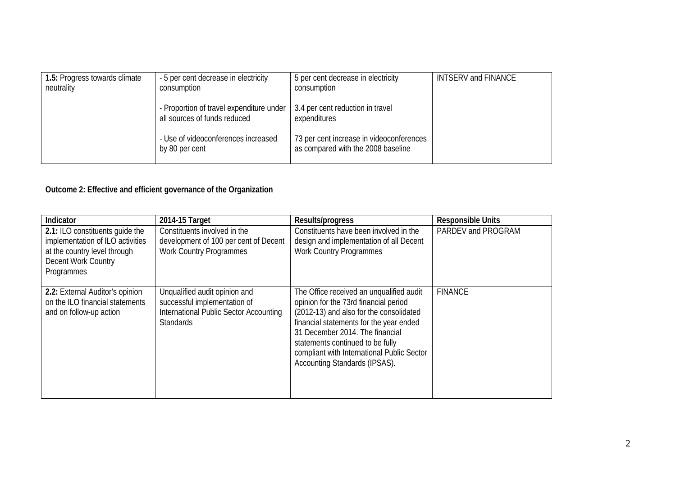| 1.5: Progress towards climate<br>neutrality | - 5 per cent decrease in electricity<br>consumption                      | 5 per cent decrease in electricity<br>consumption                              | <b>INTSERV and FINANCE</b> |
|---------------------------------------------|--------------------------------------------------------------------------|--------------------------------------------------------------------------------|----------------------------|
|                                             | - Proportion of travel expenditure under<br>all sources of funds reduced | 3.4 per cent reduction in travel<br>expenditures                               |                            |
|                                             | - Use of videoconferences increased<br>by 80 per cent                    | 73 per cent increase in videoconferences<br>as compared with the 2008 baseline |                            |

## **Outcome 2: Effective and efficient governance of the Organization**

| Indicator                                                                                                                                | 2014-15 Target                                                                                                              | Results/progress                                                                                                                                                                                                                                                                                                              | <b>Responsible Units</b> |
|------------------------------------------------------------------------------------------------------------------------------------------|-----------------------------------------------------------------------------------------------------------------------------|-------------------------------------------------------------------------------------------------------------------------------------------------------------------------------------------------------------------------------------------------------------------------------------------------------------------------------|--------------------------|
| 2.1: ILO constituents guide the<br>implementation of ILO activities<br>at the country level through<br>Decent Work Country<br>Programmes | Constituents involved in the<br>development of 100 per cent of Decent<br><b>Work Country Programmes</b>                     | Constituents have been involved in the<br>design and implementation of all Decent<br><b>Work Country Programmes</b>                                                                                                                                                                                                           | PARDEV and PROGRAM       |
| 2.2: External Auditor's opinion<br>on the ILO financial statements<br>and on follow-up action                                            | Unqualified audit opinion and<br>successful implementation of<br>International Public Sector Accounting<br><b>Standards</b> | The Office received an unqualified audit<br>opinion for the 73rd financial period<br>(2012-13) and also for the consolidated<br>financial statements for the year ended<br>31 December 2014. The financial<br>statements continued to be fully<br>compliant with International Public Sector<br>Accounting Standards (IPSAS). | <b>FINANCE</b>           |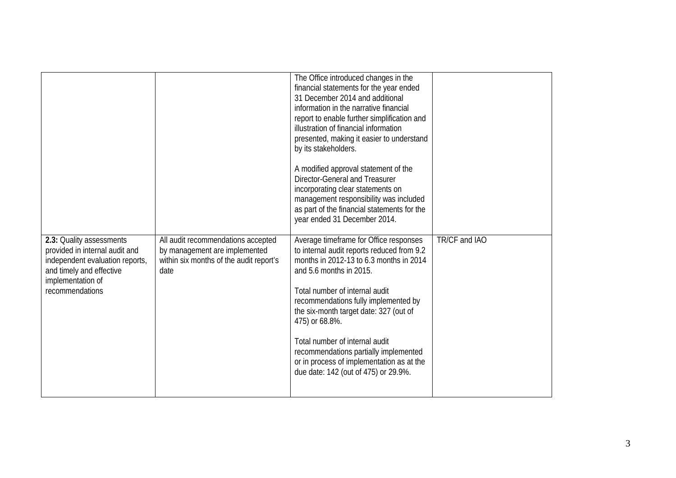|                                                                                                                                                |                                                                                                                        | The Office introduced changes in the<br>financial statements for the year ended<br>31 December 2014 and additional<br>information in the narrative financial<br>report to enable further simplification and<br>illustration of financial information<br>presented, making it easier to understand<br>by its stakeholders.<br>A modified approval statement of the |               |
|------------------------------------------------------------------------------------------------------------------------------------------------|------------------------------------------------------------------------------------------------------------------------|-------------------------------------------------------------------------------------------------------------------------------------------------------------------------------------------------------------------------------------------------------------------------------------------------------------------------------------------------------------------|---------------|
|                                                                                                                                                |                                                                                                                        | <b>Director-General and Treasurer</b><br>incorporating clear statements on<br>management responsibility was included<br>as part of the financial statements for the<br>year ended 31 December 2014.                                                                                                                                                               |               |
| 2.3: Quality assessments<br>provided in internal audit and<br>independent evaluation reports,<br>and timely and effective<br>implementation of | All audit recommendations accepted<br>by management are implemented<br>within six months of the audit report's<br>date | Average timeframe for Office responses<br>to internal audit reports reduced from 9.2<br>months in 2012-13 to 6.3 months in 2014<br>and 5.6 months in 2015.                                                                                                                                                                                                        | TR/CF and IAO |
| recommendations                                                                                                                                |                                                                                                                        | Total number of internal audit<br>recommendations fully implemented by<br>the six-month target date: 327 (out of<br>475) or 68.8%.                                                                                                                                                                                                                                |               |
|                                                                                                                                                |                                                                                                                        | Total number of internal audit<br>recommendations partially implemented<br>or in process of implementation as at the<br>due date: 142 (out of 475) or 29.9%.                                                                                                                                                                                                      |               |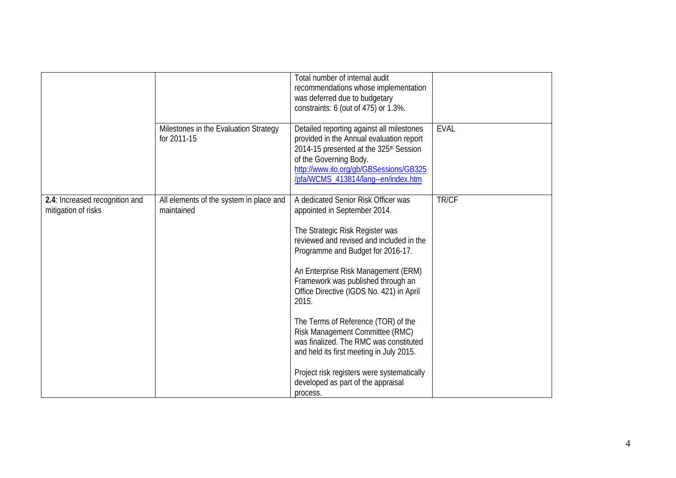|                                                       |                                                       | Total number of internal audit<br>recommendations whose implementation<br>was deferred due to budgetary<br>constraints: 6 (out of 475) or 1.3%.                                                                                                                                                                                                                                                                                                                                                                                                                                           |             |
|-------------------------------------------------------|-------------------------------------------------------|-------------------------------------------------------------------------------------------------------------------------------------------------------------------------------------------------------------------------------------------------------------------------------------------------------------------------------------------------------------------------------------------------------------------------------------------------------------------------------------------------------------------------------------------------------------------------------------------|-------------|
|                                                       | Milestones in the Evaluation Strategy<br>for 2011-15  | Detailed reporting against all milestones<br>provided in the Annual evaluation report<br>2014-15 presented at the 325 <sup>th</sup> Session<br>of the Governing Body.<br>http://www.ilo.org/gb/GBSessions/GB325<br>/pfa/WCMS_413814/lang--en/index.htm                                                                                                                                                                                                                                                                                                                                    | <b>EVAL</b> |
| 2.4: Increased recognition and<br>mitigation of risks | All elements of the system in place and<br>maintained | A dedicated Senior Risk Officer was<br>appointed in September 2014.<br>The Strategic Risk Register was<br>reviewed and revised and included in the<br>Programme and Budget for 2016-17.<br>An Enterprise Risk Management (ERM)<br>Framework was published through an<br>Office Directive (IGDS No. 421) in April<br>2015.<br>The Terms of Reference (TOR) of the<br>Risk Management Committee (RMC)<br>was finalized. The RMC was constituted<br>and held its first meeting in July 2015.<br>Project risk registers were systematically<br>developed as part of the appraisal<br>process. | TR/CF       |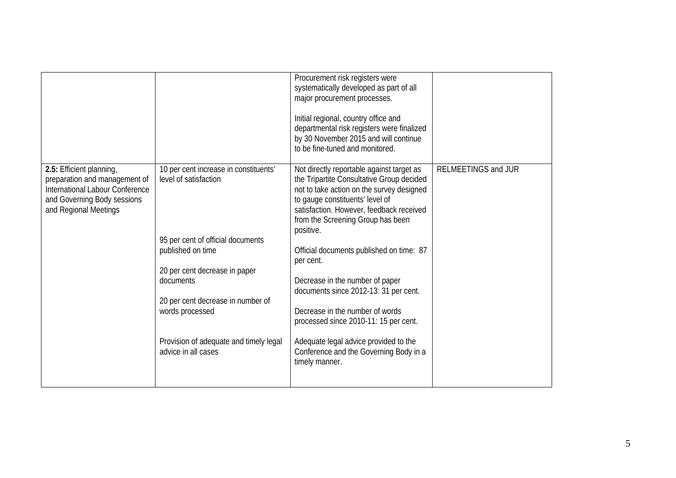|                                                                                                                                                      |                                                                                                                                                                                                                                                                                                 | Procurement risk registers were<br>systematically developed as part of all<br>major procurement processes.<br>Initial regional, country office and<br>departmental risk registers were finalized<br>by 30 November 2015 and will continue<br>to be fine-tuned and monitored.                                                                                                                                                                                                                                                                                                               |                     |
|------------------------------------------------------------------------------------------------------------------------------------------------------|-------------------------------------------------------------------------------------------------------------------------------------------------------------------------------------------------------------------------------------------------------------------------------------------------|--------------------------------------------------------------------------------------------------------------------------------------------------------------------------------------------------------------------------------------------------------------------------------------------------------------------------------------------------------------------------------------------------------------------------------------------------------------------------------------------------------------------------------------------------------------------------------------------|---------------------|
| 2.5: Efficient planning,<br>preparation and management of<br>International Labour Conference<br>and Governing Body sessions<br>and Regional Meetings | 10 per cent increase in constituents'<br>level of satisfaction<br>95 per cent of official documents<br>published on time<br>20 per cent decrease in paper<br>documents<br>20 per cent decrease in number of<br>words processed<br>Provision of adequate and timely legal<br>advice in all cases | Not directly reportable against target as<br>the Tripartite Consultative Group decided<br>not to take action on the survey designed<br>to gauge constituents' level of<br>satisfaction. However, feedback received<br>from the Screening Group has been<br>positive.<br>Official documents published on time: 87<br>per cent.<br>Decrease in the number of paper<br>documents since 2012-13: 31 per cent.<br>Decrease in the number of words<br>processed since 2010-11: 15 per cent.<br>Adequate legal advice provided to the<br>Conference and the Governing Body in a<br>timely manner. | RELMEETINGS and JUR |